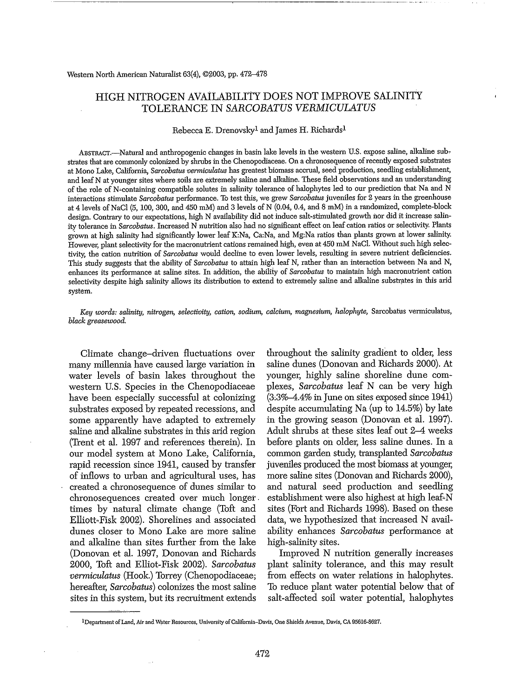#### Western North American Naturalist 63(4), ©2003, pp. 472-478

# HIGH NITROGEN AVAILABILITY DOES NOT IMPROVE SALINITY TOLERANCE IN *SARCOBATUS VERMICULATUS*

## Rebecca E. Drenovsky<sup>1</sup> and James H. Richards<sup>1</sup>

ABSTRACT.-Natural and anthropogenic changes in basin lake levels in the western U.S. expose saline, alkaline substrates that are commonly colonized by shrubs in the Chenopodiaceae. On a chronosequence ofrecently exposed substrates at Mono Lake, California, *Sarcobatus venniculatus* has greatest biomass accrual, seed production, seedling establishment, and leaf N at younger sites where soils are extremely saline and alkaline. These field observations and an understanding of the role of N-containing compatible solutes in salinity tolerance of halophytes led to our prediction that Na and N interactions stimulate *Sarcobatus* performance. To test this, we grew *Sarcobatus* juveniles for 2 years in the greenhouse at 4 levels of NaCl (5, 100, 300, and 450 mM) and 3 levels of N (0.04, 0.4, and 8 mM) in a randomized, complete-block design. Contrary to our expectations, high N availability did not induce salt-stimulated growth nor did it increase salinity tolerance in *Sarcobatus.* Increased N nutrition also had no significant effect on leaf cation ratios or selectivity. Plants grown at high salinity had significantly lower leaf K:Na, Ca:Na, and Mg:Na ratios than plants grown at lower salinity. However, plant selectivity for the macronutrient cations remained high, even at 450 mM NaCl. Without such high selectivity, the cation nutrition of *Sarcobatus* would decline to even lower levels, resulting in severe nutrient deficiencies. This study suggests that the ability of *Sarcobatus* to attain high leaf N, rather than an interaction between Na and N, enhances its performance at saline sites. In addition, the ability of *Sarcobatus* to maintain high macronutrient cation selectivity despite high salinity allows its distribution to extend to extremely saline and alkaline substrates in this arid system.

*Key words: salinity, nitrogen, selectivity, cation, sodium, calcium, magnesium, halophyte,* Sarcobatus vermiculatus, *black greasewood.*

Climate change-driven fluctuations over many millennia have caused large variation in water levels of basin lakes throughout the western U.S. Species in the Chenopodiaceae have been especially successful at colonizing substrates exposed by repeated recessions, and some apparently have adapted to extremely saline and alkaline substrates in this arid region (Trent et al. 1997 and references therein). In our model system at Mono Lake, California, rapid recession since 1941, caused by transfer of inflows to urban and agricultural uses, has created a chronosequence of dunes similar to chronosequences created over much longer. times by natural climate change (Toft and Elliott-Fisk 2002). Shorelines and associated dunes closer to Mono Lake are more saline and alkaline than sites further from the lake (Donovan et al. 1997, Donovan and Richards 2000, Toft and Elliot-Fisk 2002). *Sarcobatus vermiculatus* (Hook.) Torrey (Chenopodiaceae; hereafter, *Sarcobatus)* colonizes the most saline sites in this system, but its recruitment extends

throughout the salinity gradient to older, less saline dunes (Donovan and Richards 2000). At younger, highly saline shoreline dune complexes, *Sarcobatus* leaf N can be very high  $(3.3\% - 4.4\% \text{ in June on sites exposed since } 1941)$ despite accumulating Na (up to 14.5%) by late in the growing season (Donovan et al. 1997). Adult shrubs at these sites leaf out 2-4 weeks before plants on older, less saline dunes. In a common garden study, transplanted *Sarcobatus* juveniles produced the most biomass at younger, more saline sites (Donovan and Richards 2000), and natural seed production and seedling establishment were also highest at high leaf~N sites (Fort and Richards 1998). Based on these data, we hypothesized that increased N availability enhances *Sarcobatus* performance at high-salinity sites.

Improved N nutrition generally increases plant salinity tolerance, and this may result from effects on water relations in halophytes. To reduce plant water potential below that of salt-affected soil water potential, halophytes

lDepartment ofLand, Air and Water Resources, University ofCalifomia-Davis, One Shields Avenue, Davis, CA 95616·8627.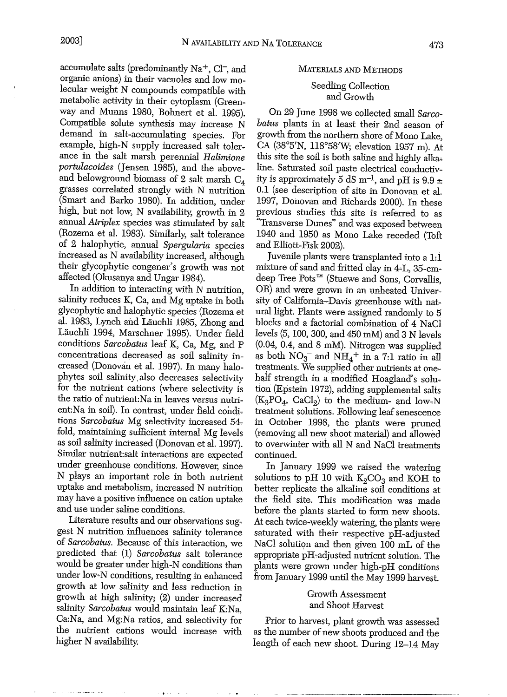accumulate salts (predominantly Na+, Cl-, and organic anions) in their vacuoles and low molecular weight N compounds compatible with metabolic activity in their cytoplasm (Greenway and Munns 1980, Bohnert et al. 1995). Compatible solute synthesis may increase N demand in salt-accumulating species. For example, high-N supply increased salt tolerance in the salt marsh perennial *Halimione portulacoides* (Jensen 1985), and the aboveand belowground biomass of 2 salt marsh  $C_4$ grasses correlated strongly with N nutrition (Smart and Barko 1980). In addition, under high, but not low, N availability, growth in 2 annual *Atriplex* species was stimulated by salt (Rozema et al. 1983). Similarly, salt tolerance of 2 halophytic, annual *Spergularia* species increased as N availability increased, although their glycophytic congener's growth was not affected (Okusanya and Ungar 1984).

In addition to interacting with N nutrition, salinity reduces K, Ca, and Mg uptake in both glycophytic and halophytic species (Rozema et al. 1983, Lynch and Lauchli 1985, Zhong and Lauchli 1994, Marschner 1995). Under field conditions *Sarcobatus* leaf K, Ca, Mg, and P concentrations decreased as soil salinity increased (Donovan et al. 1997). In many halophytes soil salinity, also decreases selectivity for the nutrient cations (where selectivity is the ratio of nutrient:Na in leaves versus nutrient:Na in soil). In contrast, under field condi~ tions Sarcobatus Mg selectivity increased 54fold, maintaining sufficient internal Mg levels as soil salinity increased (Donovan et al. 1997). Similar nutrient:salt interactions are expected under greenhouse conditions. However, since N plays an important role in both nutrient uptake and metabolism, increased N nutrition may have a positive influence on cation uptake and use under saline conditions.

Literature results and our observations suggest N nutrition influences salinity tolerance of *Sarcobatus.* Because of this interaction, we predicted that (1) *Sarcobatus* salt tolerance would be greater under high-N conditions than under 10w~N conditions, resulting in enhanced growth at low salinity and less reduction in growth at high salinity; (2) under increased salinity Sarcobatus would maintain leaf K:Na, Ca:Na, and Mg:Na ratios, and selectivity for the nutrient cations would increase with higher N availability.

### MATERIALS AND METHODS

# Seedling Collection and Growth

On 29 June 1998 we collected small *Sarcobatus* plants in at least their 2nd season of growth from the northern shore of Mono Lake, CA (38°5'N, 118°58'W; elevation 1957 m). At this site the soil is both saline and highly alkaline. Saturated soil paste electrical conductivity is approximately 5 dS m<sup>-1</sup>, and pH is 9.9  $\pm$ 0.1 (see description of site in Donovan et al. 1997, Donovan and Richards 2000). In these previous studies this site is referred to as "Transverse Dunes" and was exposed between 1940 and 1950 as Mono Lake receded (Toft and Elliott-Fisk 2002).

Juvenile plants were transplanted into a 1:1 mixture of sand and fritted clay in 4-L, 35-cmdeep Tree Pots™ (Stuewe and Sons, Corvallis, OR) and were grown in an unheated University of California~Davis greenhouse with natural light. Plants were assigned randomly to 5 blocks and a factorial combination of 4 NaCl levels (5, 100, 300, and 450 mM) and 3 N levels (0.04, 0.4, and 8 mM). Nitrogen was supplied as both  $NO_3^-$  and  $NH_4^+$  in a 7:1 ratio in all treatments. We supplied other nutrients at onehalf strength in a modified Hoagland's solution (Epstein 1972), adding supplemental salts  $(K_3PO_4, CaCl_2)$  to the medium- and low-N treatment solutions. Following leaf senescence in October 1998, the plants were pruned (removing all new shoot material) and allowed to overwinter with all N and NaCl treatments continued.

In January 1999 we raised the watering solutions to pH 10 with  $K_2CO_3$  and KOH to better replicate the alkaline soil conditions at the field site. This modification was made before the plants started to form new shoots. At each twice-weekly watering, the plants were saturated with their respective pH-adjusted NaCl solution and then given 100 mL of the appropriate pH-adjusted nutrient solution. The plants were grown under high~pH conditions from January 1999 until the May 1999 harvest.

# Growth Assessment and Shoot Harvest

Prior to harvest, plant growth was assessed as the number of new shoots produced and the length of each new shoot. During 12--14 May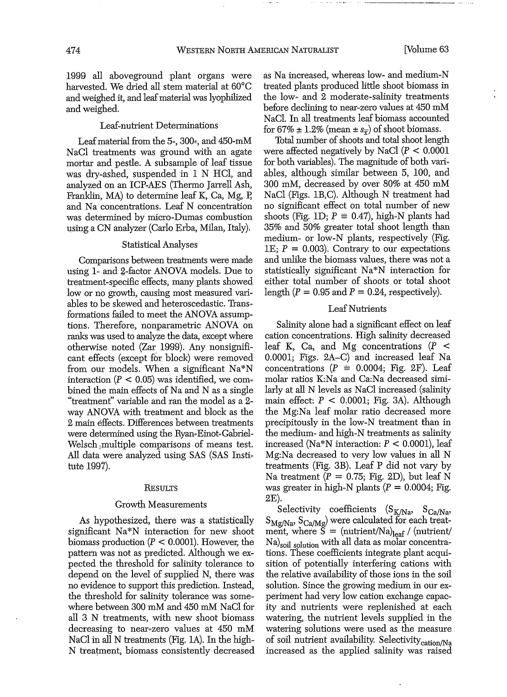1999 all aboveground plant organs were harvested. We dried all stem material at 60°C and weighed it, and leafmaterial was lyophilized and weighed.

### Leaf~nutrient Determinations

Leaf material from the 5-,  $300<sub>z</sub>$ , and  $450<sub>z</sub>$  mM NaCI treatments was ground with an agate mortar and pestle. A subsample of leaf tissue was dry-ashed, suspended in 1 N HCI, and analyzed on an ICP~AES (Thermo Jarrell Ash, Franklin,  $MA$ ) to determine leaf K, Ca, Mg, P, and Na concentrations. Leaf N concentration was determined by micro-Dumas combustion using a CN analyzer (Carlo Erba, Milan, Italy).

# Statistical Analyses

Comparisons between treatments were made using 1- and 2-factor ANOVA models. Due to treatment-specific effects, many plants showed low or no growth, causing most measured variables to be skewed and heteroscedastic. Trans~ formations failed to meet the ANOVA assumptions. Therefore, nonparametric ANOVA on ranks Was used to analyze the data, except where otherwise noted (Zar 1999). Any nonsignificant effects (except for block) were removed from our models. When a significant Na\*N interaction ( $\dot{P}$  < 0.05) was identified, we combined the main effects of Na and N as a single "treatment" variable and ran the model as a 2 way ANOVA with treatment and block as the 2 main effects. Differences between treatments were determined using the Ryan=Einot-Gabriel-Welsch )multiple comparisons of means test. All data were analyzed using SAS (SAS Insti~ tute 1997).

#### **RESULTS**

#### Growth Measurements

As hypothesized, there was a statistically significant Na\*N interaction for new shoot biomass production ( $P \le 0.0001$ ). However, the pattern was not as predicted. Although we expected the threshold for salinity tolerance to depend on the level of supplied N, there Was no evidence to support this prediction. Instead, the threshold for salinity tolerance was some~ where between 300 mM and 450 mM NaCI for all 3 N treatments, with new shoot biomass decreasing to near~zero values at 450 mM NaCI in all N treatments (Fig. lA). In the high-N treatment, biomass consistently decreased

as Na increased, whereas low- and medium-N treated plants produced little shoot biomass in the low~ and 2 moderate-salinity treatments before declining to neat-zero values at 450 mM NaCl. In all treatments leaf biomass accounted. for 67%  $\pm$  1.2% (mean  $\pm$  s<sub>π</sub>) of shoot biomass.

Total number of shoots and total shoot length were affected negatively by NaCl  $(P < 0.0001)$ for both variables). The magnitude of both variables, although similar between 5, 100, and 300 mM, decreased by over 80% at 450 mM NaCI (Figs. IB,C). Although N treatment had no significant effect on total number of new shoots (Fig. 1D;  $P \equiv 0.47$ ), high-N plants had 35% and 50% greater total shoot length than medium- or low-N plants, respectively (Fig. IE;  $P = 0.003$ ). Contrary to our expectations and unlike the biomass values, there was not a statistically significant Na\*N interaction for either total number of shoots or total shoot length  $(P = 0.95$  and  $P = 0.24$ , respectively).

# Leaf Nutrients

Salinity alone had a significant effect on leaf cation concentrations. High salinity decreased leaf K, Ca, and Mg concentrations  $(P \leq$ 0.0001; Figs. 2A-C) and increased leaf Na concentrations ( $P = 0.0004$ ; Fig. 2F). Leaf molar ratios K:Na and Ca:Na decreased similarly at all N levels as NaCI increased (salinity main effect:  $P < 0.0001$ ; Fig. 3A). Although the Mg:Na leaf molar ratio decreased more precipitously in the low-N treatment than in the medium~ and high~N treatments as salinity increased (Na\*N interaction: *P* < 0.0001), leaf Mg:Na decreased to very low values in all N treatments (Fig. 3B). Leaf P did not vary by Na treatment  $(P = 0.75; Fig. 2D)$ , but leaf N was greater in high-N plants ( $P = 0.0004$ ; Fig. 2E).

Selectivity coefficients  $(S_{K/Na}$ ,  $S_{Ca/Na}$ ,  $S_{Mg/Na}$ ,  $S_{Ca/Mg}$ ) were calculated for each treat-<br>ment, where  $S = (nutrient/Na)_{leaf} / (nutrient)$ Na)soil solution with all data as molar concentrations. These coefficients integrate plant acquisition of potentially interfering cations with the relative availability of those ions in the soil solution. Since the growing medium in our experiment had very low cation exchange capacity and nutrients were replenished at each watering, the nutrient levels supplied in the watering solutions were used as the measure of soil nutrient availability. Selectivity<sub>cation</sub>/Na increased as the applied salinity was raised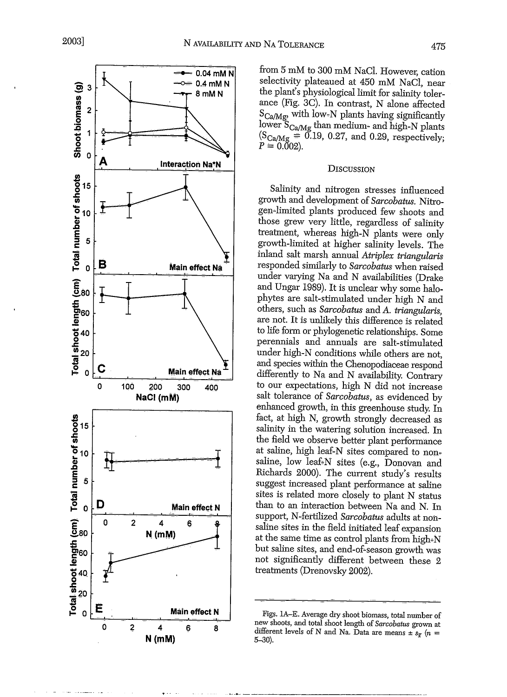

from 5 mM to 300 mM NaCl. However, cation selectivity plateaued at 450 mM NaCI, near the plant's physiological limit for salinity tolerance (Fig. 3C). In contrast, N alone affected  $S_{Ca/Mg}$ , with low-N plants having significantly lower  $S_{Ca/Mg}$  than medium- and high-N plant  $(S_{Ca/Mg} = 0.19, 0.27, \text{ and } 0.29, \text{ respectively})$  $P = 0.002$ ).

## **DISCUSSION**

Salinity and nitrogen stresses influenced growth and development of *Sarcobatus.* Nitrogen~limited plants produced few shoots and those grew very little, regardless of salinity treatment, whereas high-N plants were only growth-limited at higher salinity levels. The inland salt marsh annual *Atriplex triangularis* responded similarly to *Sarcobatus* when raised under varying Na and N availabilities (Drake and Ungar 1989). It is unclear why some halophytes are salt-stimulated under high N and others, such as *Sarcobatus* and *A. triangularis,* are not. It is unlikely this difference is related to life form or phylogenetic relationships. Some perennials and annuals are salt-stimulated under high-N conditions while others are not, and species within the Chenopodiaceae respond differently to Na and N availability. Contrary to our expectations, high N did not increase salt tolerance of *Sarcobatus,* as evidenced by enhanced growth, in this greenhouse study. In fact, at high N, growth strongly decreased as salinity in the watering solution increased. In the field we observe better plant performance at saline, high leaf-N sites compared to non~ saline, low leaf~N sites (e.g., Donovan and Richards 2000). The current study's results suggest increased plant performance at saline sites is related more closely to plant N status than to an interaction between Na and N. In support, N-fettilized *Sarcobatus* adults at nonsaline sites in the field initiated leaf expansion at the same time as control plants from high-N but saline sites, and end-of~season growth was not significantly different between these 2 treatments (Drenovsky 2002).

Figs. 1A-E. Average dry shoot biomass, total number of new shoots, and total shoot length of *Sarcobatus* grown at different levels of N and Na. Data are means  $\pm s_{\overline{x}}$  (n = 5-30).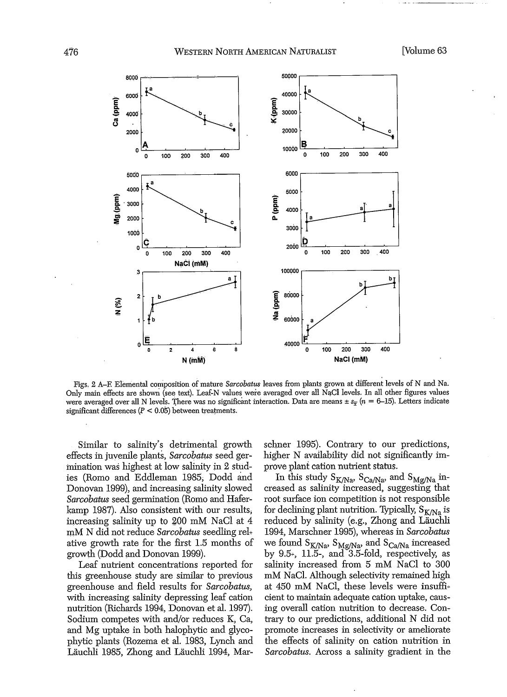

Figs, 2 A-E Elemental composition of mature *Sarcobatus* leaves from plants grown at different levels of N and Na. Only main effects are shown (see text). Leaf-N values were averaged over all NaCl levels. In all other figures values were averaged over all N levels. There was no significant interaction. Data are means  $\pm s_F (n = 6-15)$ . Letters indicate significant differences  $(P < 0.05)$  between treatments.

Similar to salinity's detrimental growth effects in juvenile plants, *Sarcobatus* seed germination was highest at low salinity in 2 studies (Romo and Eddleman 1985; Dodd and Donovan 1999), and increasing salinity slowed *Sarcobatus* seed germination (Romo and Haferkamp 1987). Also consistent with our results; increasing salinity up to 200 mM NaCl at 4 mM N did not reduce *Sarcobatus* seedling reh ative growth rate for the first 1.5 months of growth (Dodd and Donovan 1999).

Leaf nutrient concentrations reported for this greenhouse study are similar to previous greenhouse and field results for *Sarcobatus,* with increasing salinity depressing leaf cation nutrition (Richards 1994, Donovan et al. 1997). Sodium competes with and/or reduces K; Ca, and Mg uptake in both halophytic and glycophytic plants (Rozerna et al. 1983, Lynch and Läuchli 1985, Zhong and Läuchli 1994, Marschner 1995). Contrary to our predictions, higher N availability did not significantly improve plant cation nutrient status.

In this study  $S_{K/Na}$ ,  $S_{Ca/Na}$ , and  $S_{Mg/Na}$  increased as salinity increased, suggesting that root surface ion competition is not responsible for declining plant nutrition. Typically,  $S_{K/Na}$  is reduced by salinity (e.g., Zhong and Läuchli 1994, Marschner 1995), whereas in *Sarcobatus* we found  $S_{K/Na}$ ,  $S_{Mg/Na}$ , and  $S_{Ca/Na}$  increased by  $9.5$ <sup> $\div$ </sup>,  $11.5$ <sup> $\div$ </sup>, and  $3.5$ -fold, respectively, as salinity increased from 5 mM NaCI to 300 mM NaCl. Although selectivity remained high at 450 mM NaCl, these levels were insufficient to maintain adequate cation uptake, causing overall cation nutrition to decrease. Contrary to our predictions, additional N did not promote increases in selectivity or ameliorate the effects of salinity on cation nutrition in *Sarcobatus.* Across a salinity gradient in the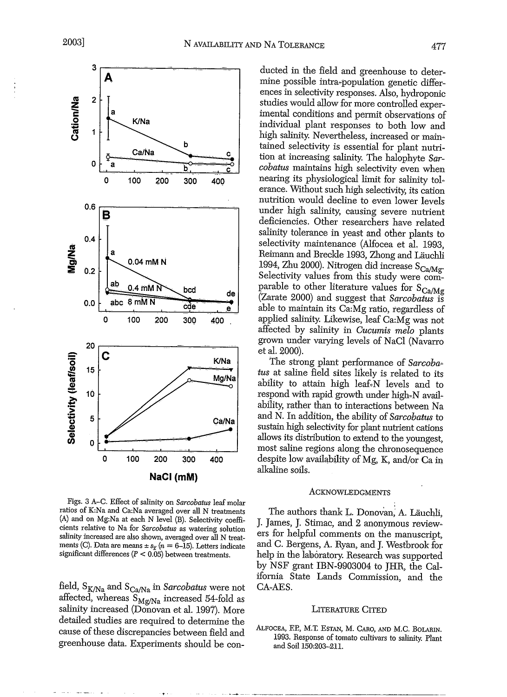

Figs. 3 A-C. Effect of salinity on *Sarcobatus* leaf molar ratios of K:Na and Ca:Na averaged over all N treatments (A) and on Mg:Na at each N level (B). Selectivity coefficients relative to Na for *Sarcobatus* as watering solution salinity increased are also shown, averaged over all N treatments (C). Data are means  $\pm s_{\overline{x}}$  ( $n = 6$ -15). Letters indicate significant differences  $(P < 0.05)$  between treatments.

field, S<sub>K/Na</sub> and S<sub>Ca/Na</sub> in *Sarcobatus* were not affected, whereas  $S_{Mg/Na}$  increased 54-fold as salinity increased (Donovan et al. 1997). More detailed studies are required to determine the cause of these discrepancies between field and greenhouse data. Experiments should be con-

ducted in the field and greenhouse to determine possible intra~population genetic differences in selectivity responses. Also, hydroponic studies would allow for more controlled experimental conditions and permit observations of individual plant responses to both low and high salinity. Nevertheless, increased or main~ tained selectivity is essential for plant nutrition at increasing salinity. The halophyte *Sarcobatus* maintains high selectivity even when nearing its physiological limit for salinity tolerance. Without such high selectivity; its cation nutrition would decline to even lower levels under high salinity, causing severe nutrient deficiencies. Other researchers have related salinity tolerance in yeast and other plants to selectivity maintenance (Alfocea et al. 1993, Reimann and Breckle 1993, Zhong and Lauchli 1994, Zhu 2000). Nitrogen did increase  $S_{Ca/Mg}$ . Selectivity values from this study were comparable to other literature values for  $S_{Ca/Mg}$ (Zarate 2000) and suggest that *Sarcobatus* is able to maintain its Ca:Mg ratio, regardless of applied salinity. Likewise, leaf Ca:Mg was not affected by salinity in *Cucumis melo* plants grown under varying levels of NaCl (Navarro et al. 2000).

The strong plant performance of Sarcoba*tus* at saline field sites likely is related to its ability to attain high leaf-N levels and to respond with rapid growth under high-N availability; rather than to interactions between Na and N. In addition, the ability of *Sarcobatus* to sustain high selectivity for plant nutrient cations allows its distribution to extend to the youngest, most saline regions along the chronosequence despite low availability of Mg, K, and/or  $Ca$  in alkaline soils.

#### ACKNOWLEDGMENTS

The authors thank L. Donovan; A. Lauchli, J. James, J. Stimac, and 2 anonymous review~ ers for helpful comments on the manuscript, andC. Bergens, A. Ryan, and J. Westbrook for help in the laboratory. Research was supported by NSF grant IBN-9903004 to JHR, the California State Lands Commission, and the CA-AES.

### LITERATURE CITED

ALFOCEA, EP., M.T. ESTAN, M. CARO, AND M.C. BOLARIN. 1993. Response of tomato cultivars to salinity. Plant and Soil 150:203-211.